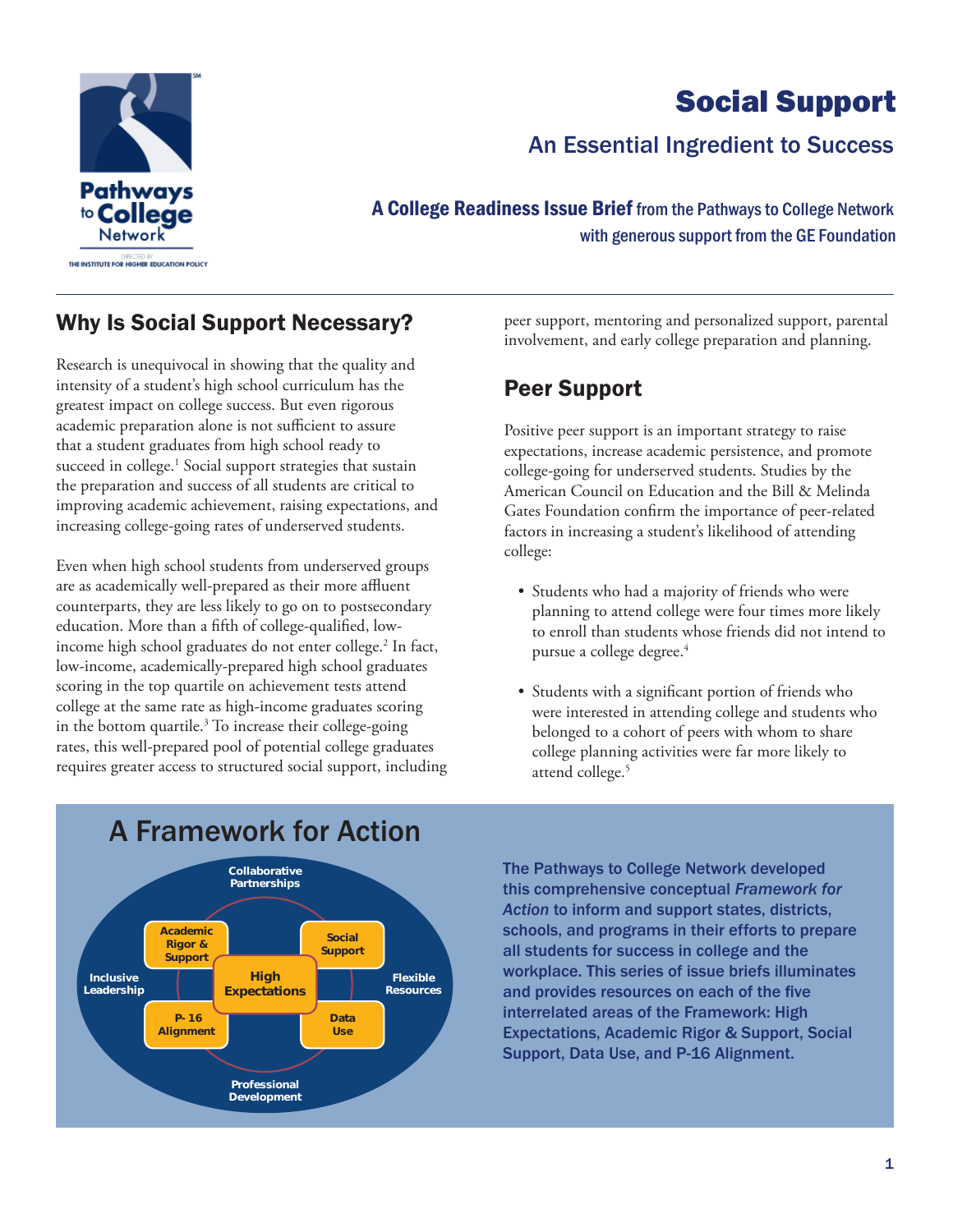

# Social Support

## An Essential Ingredient to Success

A College Readiness Issue Brief from the Pathways to College Network with generous support from the GE Foundation

### Why Is Social Support Necessary?

Research is unequivocal in showing that the quality and intensity of a student's high school curriculum has the greatest impact on college success. But even rigorous academic preparation alone is not sufficient to assure that a student graduates from high school ready to succeed in college.<sup>1</sup> Social support strategies that sustain the preparation and success of all students are critical to improving academic achievement, raising expectations, and increasing college-going rates of underserved students.

Even when high school students from underserved groups are as academically well-prepared as their more affluent counterparts, they are less likely to go on to postsecondary education. More than a fifth of college-qualified, lowincome high school graduates do not enter college.<sup>2</sup> In fact, low-income, academically-prepared high school graduates scoring in the top quartile on achievement tests attend college at the same rate as high-income graduates scoring in the bottom quartile.3 To increase their college-going rates, this well-prepared pool of potential college graduates requires greater access to structured social support, including peer support, mentoring and personalized support, parental involvement, and early college preparation and planning.

### Peer Support

Positive peer support is an important strategy to raise expectations, increase academic persistence, and promote college-going for underserved students. Studies by the American Council on Education and the Bill & Melinda Gates Foundation confirm the importance of peer-related factors in increasing a student's likelihood of attending college:

- Students who had a majority of friends who were planning to attend college were four times more likely to enroll than students whose friends did not intend to pursue a college degree.<sup>4</sup>
- Students with a significant portion of friends who were interested in attending college and students who belonged to a cohort of peers with whom to share college planning activities were far more likely to attend college.<sup>5</sup>



The Pathways to College Network developed this comprehensive conceptual *Framework for Action* to inform and support states, districts, schools, and programs in their efforts to prepare all students for success in college and the workplace. This series of issue briefs illuminates and provides resources on each of the five interrelated areas of the Framework: High Expectations, Academic Rigor & Support, Social Support, Data Use, and P-16 Alignment.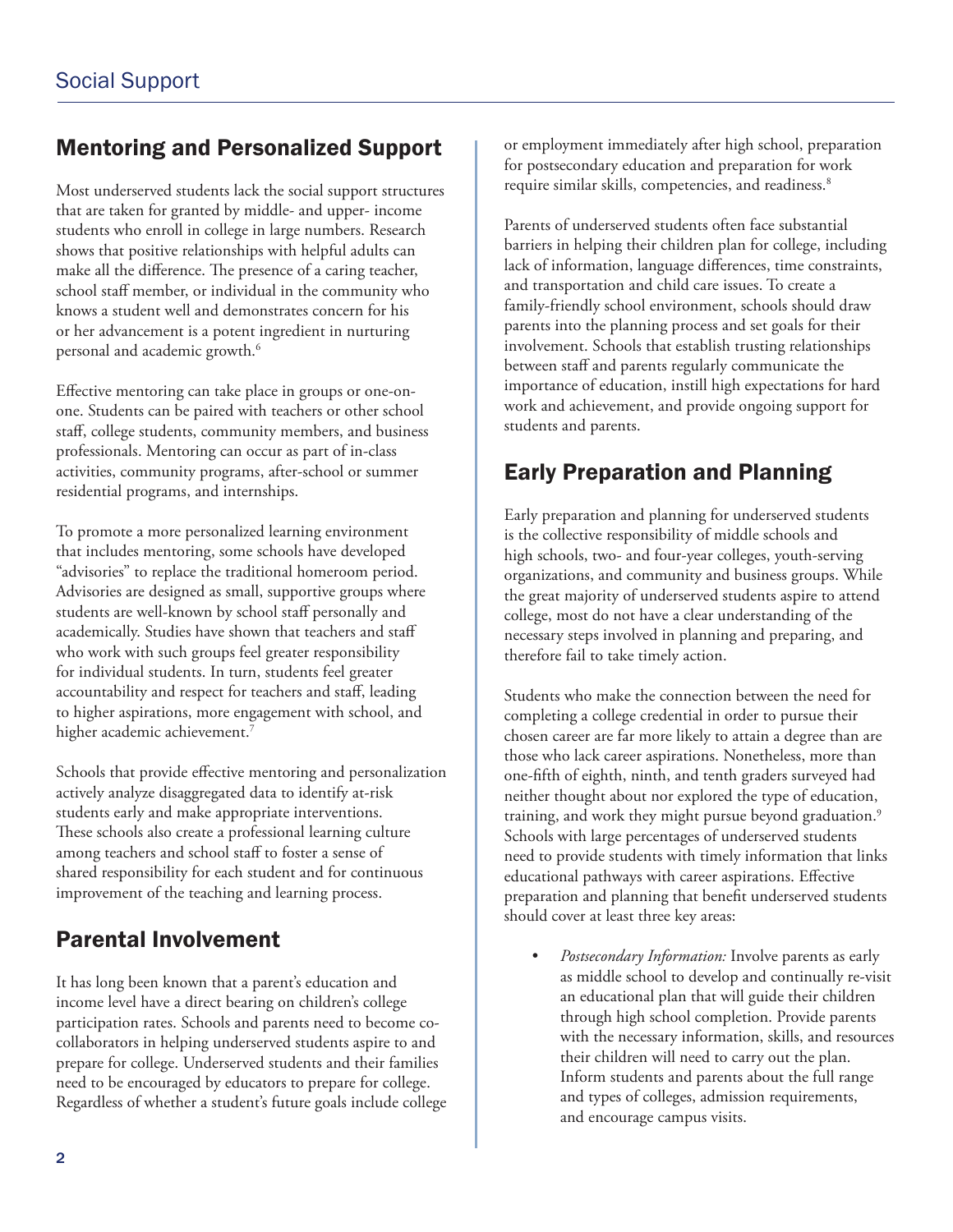### Mentoring and Personalized Support

Most underserved students lack the social support structures that are taken for granted by middle- and upper- income students who enroll in college in large numbers. Research shows that positive relationships with helpful adults can make all the difference. The presence of a caring teacher, school staff member, or individual in the community who knows a student well and demonstrates concern for his or her advancement is a potent ingredient in nurturing personal and academic growth.<sup>6</sup>

Effective mentoring can take place in groups or one-onone. Students can be paired with teachers or other school staff, college students, community members, and business professionals. Mentoring can occur as part of in-class activities, community programs, after-school or summer residential programs, and internships.

To promote a more personalized learning environment that includes mentoring, some schools have developed "advisories" to replace the traditional homeroom period. Advisories are designed as small, supportive groups where students are well-known by school staff personally and academically. Studies have shown that teachers and staff who work with such groups feel greater responsibility for individual students. In turn, students feel greater accountability and respect for teachers and staff, leading to higher aspirations, more engagement with school, and higher academic achievement.<sup>7</sup>

Schools that provide effective mentoring and personalization actively analyze disaggregated data to identify at-risk students early and make appropriate interventions. These schools also create a professional learning culture among teachers and school staff to foster a sense of shared responsibility for each student and for continuous improvement of the teaching and learning process.

## Parental Involvement

It has long been known that a parent's education and income level have a direct bearing on children's college participation rates. Schools and parents need to become cocollaborators in helping underserved students aspire to and prepare for college. Underserved students and their families need to be encouraged by educators to prepare for college. Regardless of whether a student's future goals include college or employment immediately after high school, preparation for postsecondary education and preparation for work require similar skills, competencies, and readiness.<sup>8</sup>

Parents of underserved students often face substantial barriers in helping their children plan for college, including lack of information, language differences, time constraints, and transportation and child care issues. To create a family-friendly school environment, schools should draw parents into the planning process and set goals for their involvement. Schools that establish trusting relationships between staff and parents regularly communicate the importance of education, instill high expectations for hard work and achievement, and provide ongoing support for students and parents.

### Early Preparation and Planning

Early preparation and planning for underserved students is the collective responsibility of middle schools and high schools, two- and four-year colleges, youth-serving organizations, and community and business groups. While the great majority of underserved students aspire to attend college, most do not have a clear understanding of the necessary steps involved in planning and preparing, and therefore fail to take timely action.

Students who make the connection between the need for completing a college credential in order to pursue their chosen career are far more likely to attain a degree than are those who lack career aspirations. Nonetheless, more than one-fifth of eighth, ninth, and tenth graders surveyed had neither thought about nor explored the type of education, training, and work they might pursue beyond graduation.<sup>9</sup> Schools with large percentages of underserved students need to provide students with timely information that links educational pathways with career aspirations. Effective preparation and planning that benefit underserved students should cover at least three key areas:

• *Postsecondary Information:* Involve parents as early as middle school to develop and continually re-visit an educational plan that will guide their children through high school completion. Provide parents with the necessary information, skills, and resources their children will need to carry out the plan. Inform students and parents about the full range and types of colleges, admission requirements, and encourage campus visits.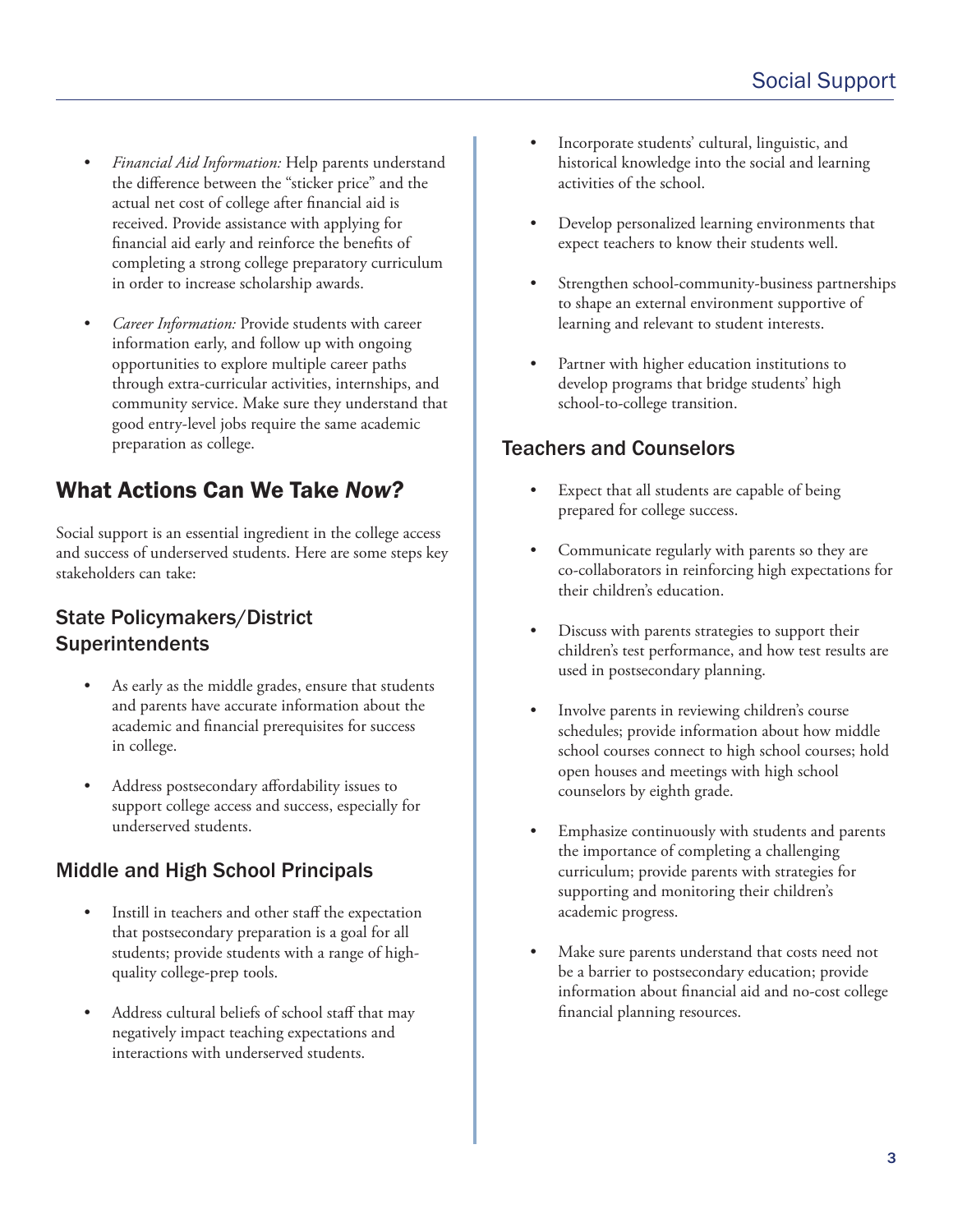- *Financial Aid Information:* Help parents understand the difference between the "sticker price" and the actual net cost of college after financial aid is received. Provide assistance with applying for financial aid early and reinforce the benefits of completing a strong college preparatory curriculum in order to increase scholarship awards.
- *Career Information:* Provide students with career information early, and follow up with ongoing opportunities to explore multiple career paths through extra-curricular activities, internships, and community service. Make sure they understand that good entry-level jobs require the same academic preparation as college.

### What Actions Can We Take *Now?*

Social support is an essential ingredient in the college access and success of underserved students. Here are some steps key stakeholders can take:

#### State Policymakers/District **Superintendents**

- As early as the middle grades, ensure that students and parents have accurate information about the academic and financial prerequisites for success in college.
- Address postsecondary affordability issues to support college access and success, especially for underserved students.

#### Middle and High School Principals

- Instill in teachers and other staff the expectation that postsecondary preparation is a goal for all students; provide students with a range of high quality college-prep tools.
- Address cultural beliefs of school staff that may negatively impact teaching expectations and interactions with underserved students.
- Incorporate students' cultural, linguistic, and historical knowledge into the social and learning activities of the school.
- Develop personalized learning environments that expect teachers to know their students well.
- Strengthen school-community-business partnerships to shape an external environment supportive of learning and relevant to student interests.
- Partner with higher education institutions to develop programs that bridge students' high school-to-college transition.

#### Teachers and Counselors

- Expect that all students are capable of being prepared for college success.
- Communicate regularly with parents so they are co-collaborators in reinforcing high expectations for their children's education.
- Discuss with parents strategies to support their children's test performance, and how test results are used in postsecondary planning.
- Involve parents in reviewing children's course schedules; provide information about how middle school courses connect to high school courses; hold open houses and meetings with high school counselors by eighth grade.
- Emphasize continuously with students and parents the importance of completing a challenging curriculum; provide parents with strategies for supporting and monitoring their children's academic progress.
- Make sure parents understand that costs need not be a barrier to postsecondary education; provide information about financial aid and no-cost college financial planning resources.